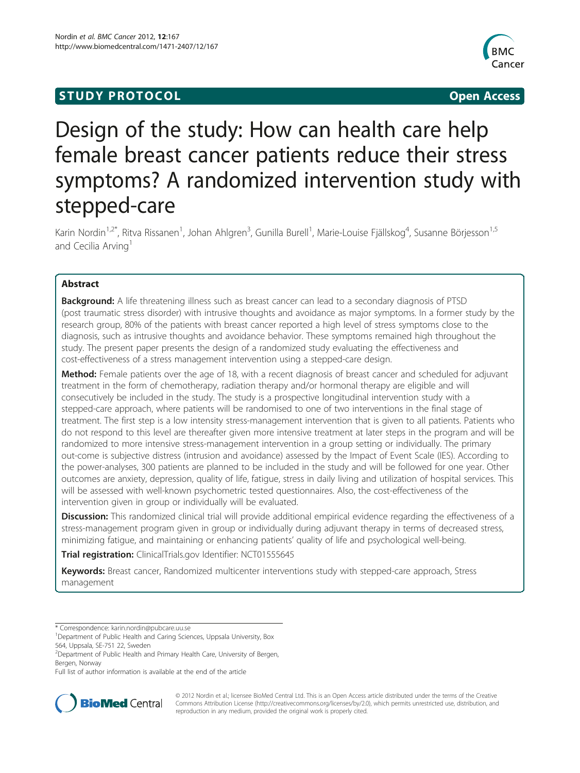# **STUDY PROTOCOL CONSUMING THE CONSUMING OPEN ACCESS**



# Design of the study: How can health care help female breast cancer patients reduce their stress symptoms? A randomized intervention study with stepped-care

Karin Nordin<sup>1,2\*</sup>, Ritva Rissanen<sup>1</sup>, Johan Ahlgren<sup>3</sup>, Gunilla Burell<sup>1</sup>, Marie-Louise Fjällskog<sup>4</sup>, Susanne Börjesson<sup>1,5</sup> and Cecilia Arving<sup>1</sup>

# Abstract

**Background:** A life threatening illness such as breast cancer can lead to a secondary diagnosis of PTSD (post traumatic stress disorder) with intrusive thoughts and avoidance as major symptoms. In a former study by the research group, 80% of the patients with breast cancer reported a high level of stress symptoms close to the diagnosis, such as intrusive thoughts and avoidance behavior. These symptoms remained high throughout the study. The present paper presents the design of a randomized study evaluating the effectiveness and cost-effectiveness of a stress management intervention using a stepped-care design.

Method: Female patients over the age of 18, with a recent diagnosis of breast cancer and scheduled for adjuvant treatment in the form of chemotherapy, radiation therapy and/or hormonal therapy are eligible and will consecutively be included in the study. The study is a prospective longitudinal intervention study with a stepped-care approach, where patients will be randomised to one of two interventions in the final stage of treatment. The first step is a low intensity stress-management intervention that is given to all patients. Patients who do not respond to this level are thereafter given more intensive treatment at later steps in the program and will be randomized to more intensive stress-management intervention in a group setting or individually. The primary out-come is subjective distress (intrusion and avoidance) assessed by the Impact of Event Scale (IES). According to the power-analyses, 300 patients are planned to be included in the study and will be followed for one year. Other outcomes are anxiety, depression, quality of life, fatigue, stress in daily living and utilization of hospital services. This will be assessed with well-known psychometric tested questionnaires. Also, the cost-effectiveness of the intervention given in group or individually will be evaluated.

Discussion: This randomized clinical trial will provide additional empirical evidence regarding the effectiveness of a stress-management program given in group or individually during adjuvant therapy in terms of decreased stress, minimizing fatigue, and maintaining or enhancing patients' quality of life and psychological well-being.

Trial registration: ClinicalTrials.gov Identifier: NCT01555645

Keywords: Breast cancer, Randomized multicenter interventions study with stepped-care approach, Stress management

\* Correspondence: [karin.nordin@pubcare.uu.se](mailto:karin.nordin@pubcare.uu.se) <sup>1</sup>

<sup>1</sup>Department of Public Health and Caring Sciences, Uppsala University, Box

564, Uppsala, SE-751 22, Sweden

<sup>2</sup>Department of Public Health and Primary Health Care, University of Bergen, Bergen, Norway

Full list of author information is available at the end of the article



© 2012 Nordin et al.; licensee BioMed Central Ltd. This is an Open Access article distributed under the terms of the Creative Commons Attribution License (http://creativecommons.org/licenses/by/2.0), which permits unrestricted use, distribution, and reproduction in any medium, provided the original work is properly cited.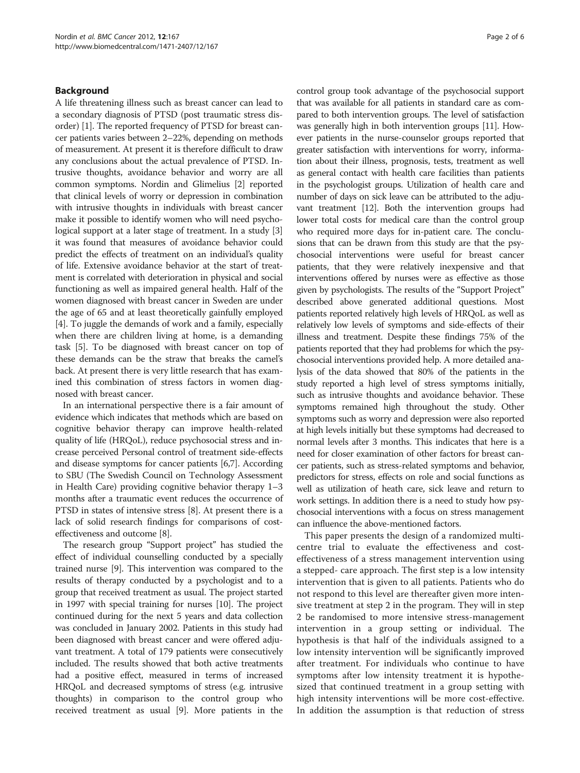# Background

A life threatening illness such as breast cancer can lead to a secondary diagnosis of PTSD (post traumatic stress disorder) [[1\]](#page-5-0). The reported frequency of PTSD for breast cancer patients varies between 2–22%, depending on methods of measurement. At present it is therefore difficult to draw any conclusions about the actual prevalence of PTSD. Intrusive thoughts, avoidance behavior and worry are all common symptoms. Nordin and Glimelius [[2\]](#page-5-0) reported that clinical levels of worry or depression in combination with intrusive thoughts in individuals with breast cancer make it possible to identify women who will need psychological support at a later stage of treatment. In a study [[3](#page-5-0)] it was found that measures of avoidance behavior could predict the effects of treatment on an individual's quality of life. Extensive avoidance behavior at the start of treatment is correlated with deterioration in physical and social functioning as well as impaired general health. Half of the women diagnosed with breast cancer in Sweden are under the age of 65 and at least theoretically gainfully employed [[4\]](#page-5-0). To juggle the demands of work and a family, especially when there are children living at home, is a demanding task [\[5](#page-5-0)]. To be diagnosed with breast cancer on top of these demands can be the straw that breaks the camel's back. At present there is very little research that has examined this combination of stress factors in women diagnosed with breast cancer.

In an international perspective there is a fair amount of evidence which indicates that methods which are based on cognitive behavior therapy can improve health-related quality of life (HRQoL), reduce psychosocial stress and increase perceived Personal control of treatment side-effects and disease symptoms for cancer patients [[6,7](#page-5-0)]. According to SBU (The Swedish Council on Technology Assessment in Health Care) providing cognitive behavior therapy 1–3 months after a traumatic event reduces the occurrence of PTSD in states of intensive stress [[8\]](#page-5-0). At present there is a lack of solid research findings for comparisons of costeffectiveness and outcome [[8](#page-5-0)].

The research group "Support project" has studied the effect of individual counselling conducted by a specially trained nurse [\[9](#page-5-0)]. This intervention was compared to the results of therapy conducted by a psychologist and to a group that received treatment as usual. The project started in 1997 with special training for nurses [[10](#page-5-0)]. The project continued during for the next 5 years and data collection was concluded in January 2002. Patients in this study had been diagnosed with breast cancer and were offered adjuvant treatment. A total of 179 patients were consecutively included. The results showed that both active treatments had a positive effect, measured in terms of increased HRQoL and decreased symptoms of stress (e.g. intrusive thoughts) in comparison to the control group who received treatment as usual [[9\]](#page-5-0). More patients in the

control group took advantage of the psychosocial support that was available for all patients in standard care as compared to both intervention groups. The level of satisfaction was generally high in both intervention groups [\[11\]](#page-5-0). However patients in the nurse-counselor groups reported that greater satisfaction with interventions for worry, information about their illness, prognosis, tests, treatment as well as general contact with health care facilities than patients in the psychologist groups. Utilization of health care and number of days on sick leave can be attributed to the adjuvant treatment [[12](#page-5-0)]. Both the intervention groups had lower total costs for medical care than the control group who required more days for in-patient care. The conclusions that can be drawn from this study are that the psychosocial interventions were useful for breast cancer patients, that they were relatively inexpensive and that interventions offered by nurses were as effective as those given by psychologists. The results of the "Support Project" described above generated additional questions. Most patients reported relatively high levels of HRQoL as well as relatively low levels of symptoms and side-effects of their illness and treatment. Despite these findings 75% of the patients reported that they had problems for which the psychosocial interventions provided help. A more detailed analysis of the data showed that 80% of the patients in the study reported a high level of stress symptoms initially, such as intrusive thoughts and avoidance behavior. These symptoms remained high throughout the study. Other symptoms such as worry and depression were also reported at high levels initially but these symptoms had decreased to normal levels after 3 months. This indicates that here is a need for closer examination of other factors for breast cancer patients, such as stress-related symptoms and behavior, predictors for stress, effects on role and social functions as well as utilization of heath care, sick leave and return to work settings. In addition there is a need to study how psychosocial interventions with a focus on stress management can influence the above-mentioned factors.

This paper presents the design of a randomized multicentre trial to evaluate the effectiveness and costeffectiveness of a stress management intervention using a stepped- care approach. The first step is a low intensity intervention that is given to all patients. Patients who do not respond to this level are thereafter given more intensive treatment at step 2 in the program. They will in step 2 be randomised to more intensive stress-management intervention in a group setting or individual. The hypothesis is that half of the individuals assigned to a low intensity intervention will be significantly improved after treatment. For individuals who continue to have symptoms after low intensity treatment it is hypothesized that continued treatment in a group setting with high intensity interventions will be more cost-effective. In addition the assumption is that reduction of stress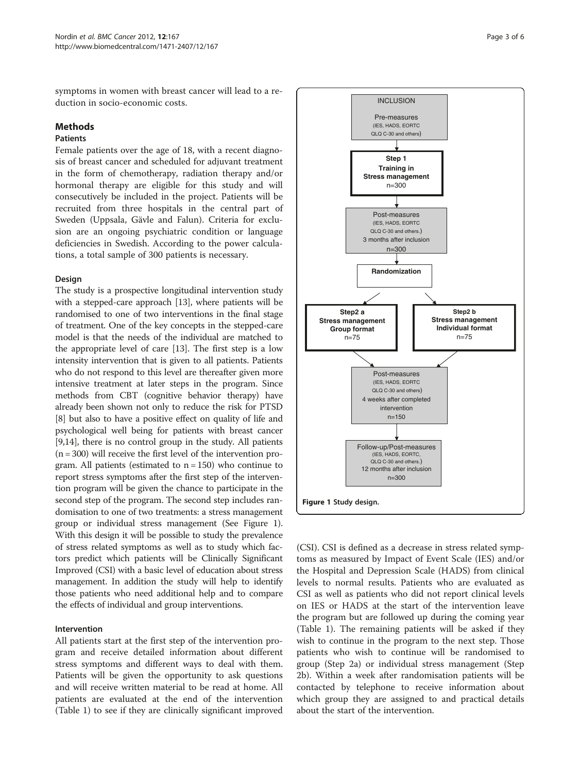symptoms in women with breast cancer will lead to a reduction in socio-economic costs.

## **Methods**

#### Patients

Female patients over the age of 18, with a recent diagnosis of breast cancer and scheduled for adjuvant treatment in the form of chemotherapy, radiation therapy and/or hormonal therapy are eligible for this study and will consecutively be included in the project. Patients will be recruited from three hospitals in the central part of Sweden (Uppsala, Gävle and Falun). Criteria for exclusion are an ongoing psychiatric condition or language deficiencies in Swedish. According to the power calculations, a total sample of 300 patients is necessary.

## Design

The study is a prospective longitudinal intervention study with a stepped-care approach [\[13](#page-5-0)], where patients will be randomised to one of two interventions in the final stage of treatment. One of the key concepts in the stepped-care model is that the needs of the individual are matched to the appropriate level of care [\[13](#page-5-0)]. The first step is a low intensity intervention that is given to all patients. Patients who do not respond to this level are thereafter given more intensive treatment at later steps in the program. Since methods from CBT (cognitive behavior therapy) have already been shown not only to reduce the risk for PTSD [[8\]](#page-5-0) but also to have a positive effect on quality of life and psychological well being for patients with breast cancer [[9,14](#page-5-0)], there is no control group in the study. All patients  $(n = 300)$  will receive the first level of the intervention program. All patients (estimated to  $n = 150$ ) who continue to report stress symptoms after the first step of the intervention program will be given the chance to participate in the second step of the program. The second step includes randomisation to one of two treatments: a stress management group or individual stress management (See Figure 1). With this design it will be possible to study the prevalence of stress related symptoms as well as to study which factors predict which patients will be Clinically Significant Improved (CSI) with a basic level of education about stress management. In addition the study will help to identify those patients who need additional help and to compare the effects of individual and group interventions.

# Intervention

All patients start at the first step of the intervention program and receive detailed information about different stress symptoms and different ways to deal with them. Patients will be given the opportunity to ask questions and will receive written material to be read at home. All patients are evaluated at the end of the intervention (Table [1](#page-3-0)) to see if they are clinically significant improved



(CSI). CSI is defined as a decrease in stress related symptoms as measured by Impact of Event Scale (IES) and/or the Hospital and Depression Scale (HADS) from clinical levels to normal results. Patients who are evaluated as CSI as well as patients who did not report clinical levels on IES or HADS at the start of the intervention leave the program but are followed up during the coming year (Table [1](#page-3-0)). The remaining patients will be asked if they wish to continue in the program to the next step. Those patients who wish to continue will be randomised to group (Step 2a) or individual stress management (Step 2b). Within a week after randomisation patients will be contacted by telephone to receive information about which group they are assigned to and practical details about the start of the intervention.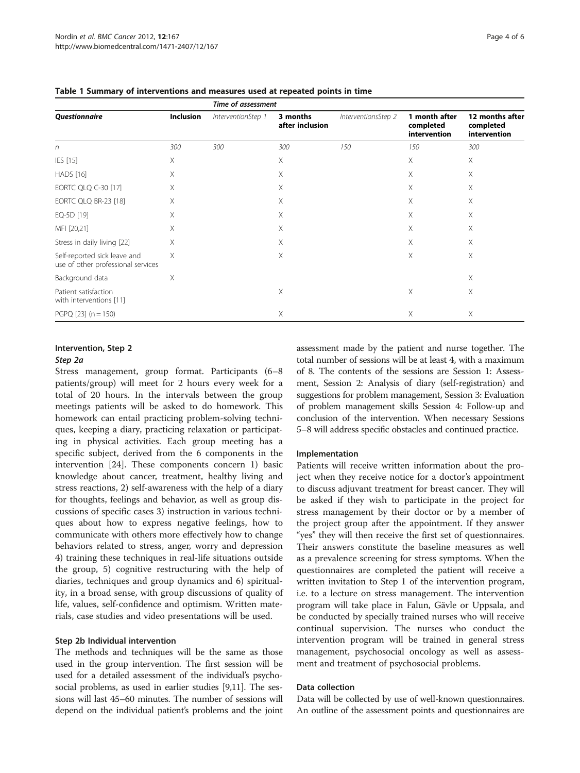| <b>Questionnaire</b>                                               | Inclusion | Time of assessment |                             |                     |                                            |                                              |
|--------------------------------------------------------------------|-----------|--------------------|-----------------------------|---------------------|--------------------------------------------|----------------------------------------------|
|                                                                    |           | InterventionStep 1 | 3 months<br>after inclusion | InterventionsStep 2 | 1 month after<br>completed<br>intervention | 12 months after<br>completed<br>intervention |
| n                                                                  | 300       | 300                | 300                         | 150                 | 150                                        | 300                                          |
| IES [15]                                                           | Χ         |                    | Χ                           |                     | Χ                                          | Χ                                            |
| <b>HADS</b> [16]                                                   | X         |                    | X                           |                     | X                                          | X                                            |
| EORTC QLQ C-30 [17]                                                | X         |                    | Χ                           |                     | Χ                                          | Χ                                            |
| <b>EORTC QLQ BR-23 [18]</b>                                        | X         |                    | X                           |                     | X                                          | X                                            |
| EQ-5D [19]                                                         | Χ         |                    | X                           |                     | X                                          | X                                            |
| MFI [20,21]                                                        | X         |                    | Χ                           |                     | Χ                                          | Χ                                            |
| Stress in daily living [22]                                        | X         |                    | Χ                           |                     | Χ                                          | Χ                                            |
| Self-reported sick leave and<br>use of other professional services | $\times$  |                    | Χ                           |                     | X                                          | X                                            |
| Background data                                                    | X         |                    |                             |                     |                                            | Χ                                            |
| Patient satisfaction<br>with interventions [11]                    |           |                    | Χ                           |                     | Χ                                          | Χ                                            |
| PGPQ $[23]$ (n = 150)                                              |           |                    | Χ                           |                     | X                                          | X                                            |

<span id="page-3-0"></span>Table 1 Summary of interventions and measures used at repeated points in time

#### Intervention, Step 2

#### Step 2a

Stress management, group format. Participants (6–8 patients/group) will meet for 2 hours every week for a total of 20 hours. In the intervals between the group meetings patients will be asked to do homework. This homework can entail practicing problem-solving techniques, keeping a diary, practicing relaxation or participating in physical activities. Each group meeting has a specific subject, derived from the 6 components in the intervention [[24\]](#page-5-0). These components concern 1) basic knowledge about cancer, treatment, healthy living and stress reactions, 2) self-awareness with the help of a diary for thoughts, feelings and behavior, as well as group discussions of specific cases 3) instruction in various techniques about how to express negative feelings, how to communicate with others more effectively how to change behaviors related to stress, anger, worry and depression 4) training these techniques in real-life situations outside the group, 5) cognitive restructuring with the help of diaries, techniques and group dynamics and 6) spirituality, in a broad sense, with group discussions of quality of life, values, self-confidence and optimism. Written materials, case studies and video presentations will be used.

#### Step 2b Individual intervention

The methods and techniques will be the same as those used in the group intervention. The first session will be used for a detailed assessment of the individual's psychosocial problems, as used in earlier studies [\[9,11](#page-5-0)]. The sessions will last 45–60 minutes. The number of sessions will depend on the individual patient's problems and the joint assessment made by the patient and nurse together. The total number of sessions will be at least 4, with a maximum of 8. The contents of the sessions are Session 1: Assessment, Session 2: Analysis of diary (self-registration) and suggestions for problem management, Session 3: Evaluation of problem management skills Session 4: Follow-up and conclusion of the intervention. When necessary Sessions 5–8 will address specific obstacles and continued practice.

#### Implementation

Patients will receive written information about the project when they receive notice for a doctor's appointment to discuss adjuvant treatment for breast cancer. They will be asked if they wish to participate in the project for stress management by their doctor or by a member of the project group after the appointment. If they answer "yes" they will then receive the first set of questionnaires. Their answers constitute the baseline measures as well as a prevalence screening for stress symptoms. When the questionnaires are completed the patient will receive a written invitation to Step 1 of the intervention program, i.e. to a lecture on stress management. The intervention program will take place in Falun, Gävle or Uppsala, and be conducted by specially trained nurses who will receive continual supervision. The nurses who conduct the intervention program will be trained in general stress management, psychosocial oncology as well as assessment and treatment of psychosocial problems.

#### Data collection

Data will be collected by use of well-known questionnaires. An outline of the assessment points and questionnaires are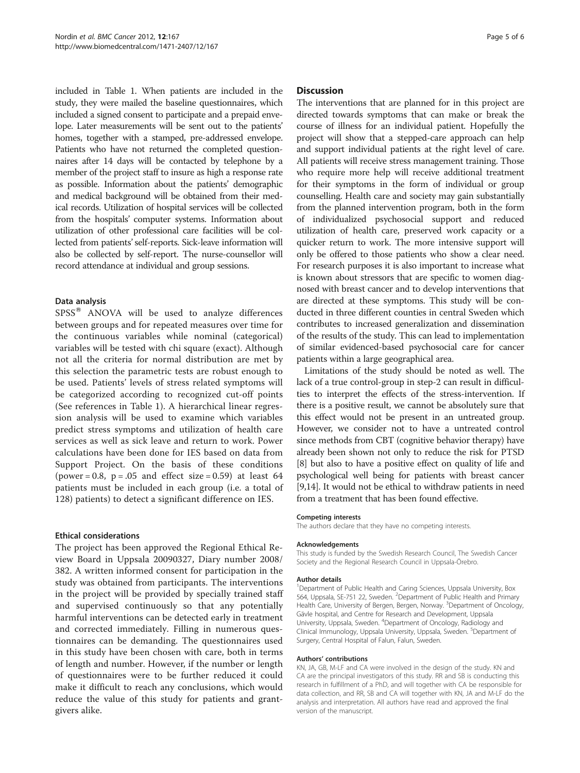included in Table [1](#page-3-0). When patients are included in the study, they were mailed the baseline questionnaires, which included a signed consent to participate and a prepaid envelope. Later measurements will be sent out to the patients' homes, together with a stamped, pre-addressed envelope. Patients who have not returned the completed questionnaires after 14 days will be contacted by telephone by a member of the project staff to insure as high a response rate as possible. Information about the patients' demographic and medical background will be obtained from their medical records. Utilization of hospital services will be collected from the hospitals' computer systems. Information about utilization of other professional care facilities will be collected from patients'self-reports. Sick-leave information will also be collected by self-report. The nurse-counsellor will record attendance at individual and group sessions.

#### Data analysis

SPSS® ANOVA will be used to analyze differences between groups and for repeated measures over time for the continuous variables while nominal (categorical) variables will be tested with chi square (exact). Although not all the criteria for normal distribution are met by this selection the parametric tests are robust enough to be used. Patients' levels of stress related symptoms will be categorized according to recognized cut-off points (See references in Table [1](#page-3-0)). A hierarchical linear regression analysis will be used to examine which variables predict stress symptoms and utilization of health care services as well as sick leave and return to work. Power calculations have been done for IES based on data from Support Project. On the basis of these conditions (power = 0.8,  $p = .05$  and effect size = 0.59) at least 64 patients must be included in each group (i.e. a total of 128) patients) to detect a significant difference on IES.

#### Ethical considerations

The project has been approved the Regional Ethical Review Board in Uppsala 20090327, Diary number 2008/ 382. A written informed consent for participation in the study was obtained from participants. The interventions in the project will be provided by specially trained staff and supervised continuously so that any potentially harmful interventions can be detected early in treatment and corrected immediately. Filling in numerous questionnaires can be demanding. The questionnaires used in this study have been chosen with care, both in terms of length and number. However, if the number or length of questionnaires were to be further reduced it could make it difficult to reach any conclusions, which would reduce the value of this study for patients and grantgivers alike.

#### **Discussion**

The interventions that are planned for in this project are directed towards symptoms that can make or break the course of illness for an individual patient. Hopefully the project will show that a stepped-care approach can help and support individual patients at the right level of care. All patients will receive stress management training. Those who require more help will receive additional treatment for their symptoms in the form of individual or group counselling. Health care and society may gain substantially from the planned intervention program, both in the form of individualized psychosocial support and reduced utilization of health care, preserved work capacity or a quicker return to work. The more intensive support will only be offered to those patients who show a clear need. For research purposes it is also important to increase what is known about stressors that are specific to women diagnosed with breast cancer and to develop interventions that are directed at these symptoms. This study will be conducted in three different counties in central Sweden which contributes to increased generalization and dissemination of the results of the study. This can lead to implementation of similar evidenced-based psychosocial care for cancer patients within a large geographical area.

Limitations of the study should be noted as well. The lack of a true control-group in step-2 can result in difficulties to interpret the effects of the stress-intervention. If there is a positive result, we cannot be absolutely sure that this effect would not be present in an untreated group. However, we consider not to have a untreated control since methods from CBT (cognitive behavior therapy) have already been shown not only to reduce the risk for PTSD [[8\]](#page-5-0) but also to have a positive effect on quality of life and psychological well being for patients with breast cancer [[9,14](#page-5-0)]. It would not be ethical to withdraw patients in need from a treatment that has been found effective.

# Competing interests

The authors declare that they have no competing interests.

#### Acknowledgements

This study is funded by the Swedish Research Council, The Swedish Cancer Society and the Regional Research Council in Uppsala-Örebro.

#### Author details

<sup>1</sup>Department of Public Health and Caring Sciences, Uppsala University, Box 564, Uppsala, SE-751 22, Sweden. <sup>2</sup>Department of Public Health and Primary Health Care, University of Bergen, Bergen, Norway. <sup>3</sup> Department of Oncology Gävle hospital, and Centre for Research and Development, Uppsala University, Uppsala, Sweden. <sup>4</sup>Department of Oncology, Radiology and Clinical Immunology, Uppsala University, Uppsala, Sweden. <sup>5</sup>Department of Surgery, Central Hospital of Falun, Falun, Sweden.

#### Authors' contributions

KN, JA, GB, M-LF and CA were involved in the design of the study. KN and CA are the principal investigators of this study. RR and SB is conducting this research in fulfillment of a PhD, and will together with CA be responsible for data collection, and RR, SB and CA will together with KN, JA and M-LF do the analysis and interpretation. All authors have read and approved the final version of the manuscript.